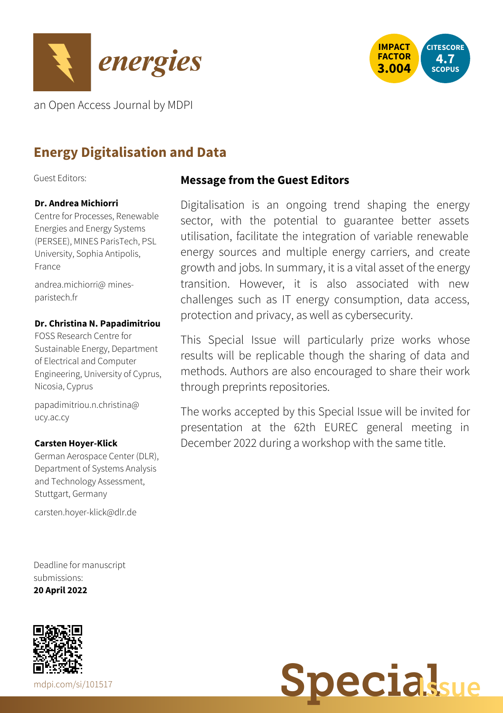



an Open Access Journal by MDPI

# **Energy Digitalisation and Data**

Guest Editors:

## **Dr. Andrea Michiorri**

Centre for Processes, Renewable Energies and Energy Systems (PERSEE), MINES ParisTech, PSL University, Sophia Antipolis, France

[andrea.michiorri@](mailto:andrea.michiorri@mines-paristech.fr) minesparistech.fr

### **Dr. Christina N. Papadimitriou**

FOSS Research Centre for Sustainable Energy, Department of Electrical and Computer Engineering, University of Cyprus, Nicosia, Cyprus

[papadimitriou.n.christina@](mailto:papadimitriou.n.christina@ucy.ac.cy) ucy.ac.cy

#### **Carsten Hoyer-Klick**

German Aerospace Center (DLR), Department of Systems Analysis and Technology Assessment, Stuttgart, Germany

[carsten.hoyer-klick@dlr.de](mailto:carsten.hoyer-klick@dlr.de)

Deadline for manuscript submissions: **20 April 2022**



# **Message from the Guest Editors**

Digitalisation is an ongoing trend shaping the energy sector, with the potential to guarantee better assets utilisation, facilitate the integration of variable renewable energy sources and multiple energy carriers, and create growth and jobs. In summary, it is a vital asset of the energy transition. However, it is also associated with new challenges such as IT energy consumption, data access, protection and privacy, as well as cybersecurity.

This Special Issue will particularly prize works whose results will be replicable though the sharing of data and methods. Authors are also encouraged to share their work through preprints repositories.

The works accepted by this Special Issue will be invited for presentation at the 62th EUREC general meeting in December 2022 during a workshop with the same title.